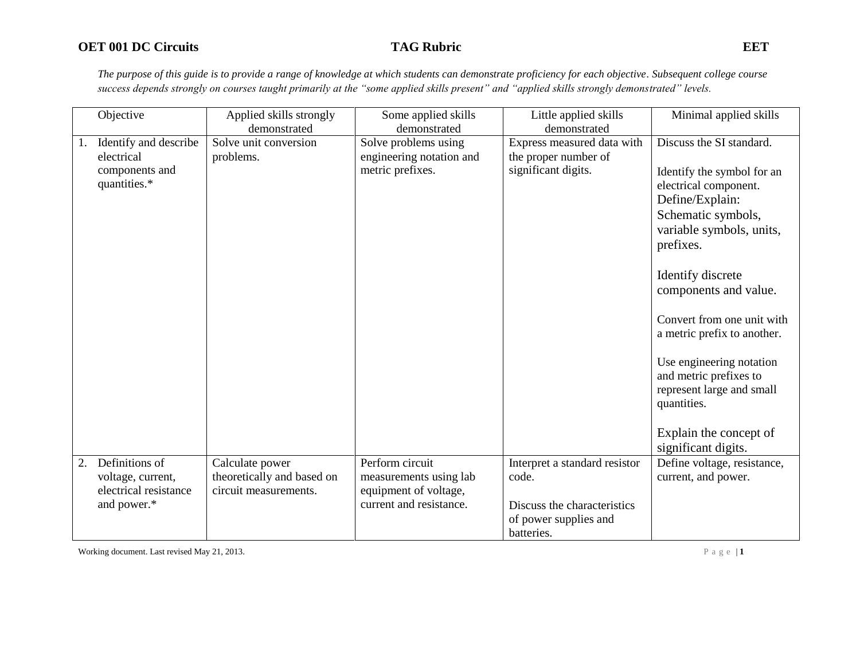*The purpose of this guide is to provide a range of knowledge at which students can demonstrate proficiency for each objective. Subsequent college course success depends strongly on courses taught primarily at the "some applied skills present" and "applied skills strongly demonstrated" levels.* 

|    | Objective                                  | Applied skills strongly                             | Some applied skills                              | Little applied skills                              | Minimal applied skills                                                                                                                                                                                                                                                                                                                                                                              |
|----|--------------------------------------------|-----------------------------------------------------|--------------------------------------------------|----------------------------------------------------|-----------------------------------------------------------------------------------------------------------------------------------------------------------------------------------------------------------------------------------------------------------------------------------------------------------------------------------------------------------------------------------------------------|
|    |                                            | demonstrated                                        | demonstrated                                     | demonstrated                                       |                                                                                                                                                                                                                                                                                                                                                                                                     |
|    | Identify and describe<br>electrical        | Solve unit conversion<br>problems.                  | Solve problems using<br>engineering notation and | Express measured data with<br>the proper number of | Discuss the SI standard.                                                                                                                                                                                                                                                                                                                                                                            |
|    | components and<br>quantities.*             |                                                     | metric prefixes.                                 | significant digits.                                | Identify the symbol for an<br>electrical component.<br>Define/Explain:<br>Schematic symbols,<br>variable symbols, units,<br>prefixes.<br>Identify discrete<br>components and value.<br>Convert from one unit with<br>a metric prefix to another.<br>Use engineering notation<br>and metric prefixes to<br>represent large and small<br>quantities.<br>Explain the concept of<br>significant digits. |
| 2. | Definitions of                             | Calculate power                                     | Perform circuit                                  | Interpret a standard resistor                      | Define voltage, resistance,                                                                                                                                                                                                                                                                                                                                                                         |
|    | voltage, current,<br>electrical resistance | theoretically and based on<br>circuit measurements. | measurements using lab<br>equipment of voltage,  | code.                                              | current, and power.                                                                                                                                                                                                                                                                                                                                                                                 |
|    | and power.*                                |                                                     | current and resistance.                          | Discuss the characteristics                        |                                                                                                                                                                                                                                                                                                                                                                                                     |
|    |                                            |                                                     |                                                  | of power supplies and                              |                                                                                                                                                                                                                                                                                                                                                                                                     |
|    |                                            |                                                     |                                                  | batteries.                                         |                                                                                                                                                                                                                                                                                                                                                                                                     |

Working document. Last revised May 21, 2013.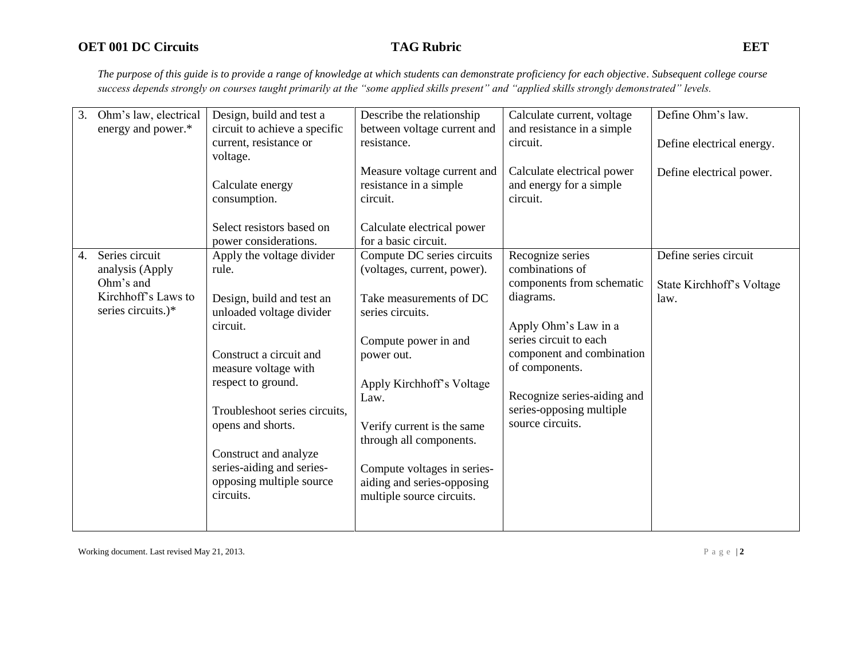*The purpose of this guide is to provide a range of knowledge at which students can demonstrate proficiency for each objective. Subsequent college course success depends strongly on courses taught primarily at the "some applied skills present" and "applied skills strongly demonstrated" levels.* 

| 3.<br>Ohm's law, electrical | Design, build and test a      | Describe the relationship   | Calculate current, voltage  | Define Ohm's law.         |
|-----------------------------|-------------------------------|-----------------------------|-----------------------------|---------------------------|
| energy and power.*          | circuit to achieve a specific | between voltage current and | and resistance in a simple  |                           |
|                             | current, resistance or        | resistance.                 | circuit.                    | Define electrical energy. |
|                             | voltage.                      |                             |                             |                           |
|                             |                               | Measure voltage current and | Calculate electrical power  | Define electrical power.  |
|                             | Calculate energy              | resistance in a simple      | and energy for a simple     |                           |
|                             | consumption.                  | circuit.                    | circuit.                    |                           |
|                             |                               |                             |                             |                           |
|                             | Select resistors based on     | Calculate electrical power  |                             |                           |
|                             | power considerations.         | for a basic circuit.        |                             |                           |
| Series circuit<br>4.        | Apply the voltage divider     | Compute DC series circuits  | Recognize series            | Define series circuit     |
| analysis (Apply             | rule.                         | (voltages, current, power). | combinations of             |                           |
| Ohm's and                   |                               |                             | components from schematic   | State Kirchhoff's Voltage |
| Kirchhoff's Laws to         | Design, build and test an     | Take measurements of DC     | diagrams.                   | law.                      |
| series circuits.)*          | unloaded voltage divider      | series circuits.            |                             |                           |
|                             | circuit.                      |                             | Apply Ohm's Law in a        |                           |
|                             |                               | Compute power in and        | series circuit to each      |                           |
|                             | Construct a circuit and       | power out.                  | component and combination   |                           |
|                             | measure voltage with          |                             | of components.              |                           |
|                             | respect to ground.            | Apply Kirchhoff's Voltage   |                             |                           |
|                             |                               | Law.                        | Recognize series-aiding and |                           |
|                             | Troubleshoot series circuits, |                             | series-opposing multiple    |                           |
|                             | opens and shorts.             | Verify current is the same  | source circuits.            |                           |
|                             |                               | through all components.     |                             |                           |
|                             | Construct and analyze         |                             |                             |                           |
|                             | series-aiding and series-     | Compute voltages in series- |                             |                           |
|                             | opposing multiple source      | aiding and series-opposing  |                             |                           |
|                             | circuits.                     | multiple source circuits.   |                             |                           |
|                             |                               |                             |                             |                           |
|                             |                               |                             |                             |                           |
|                             |                               |                             |                             |                           |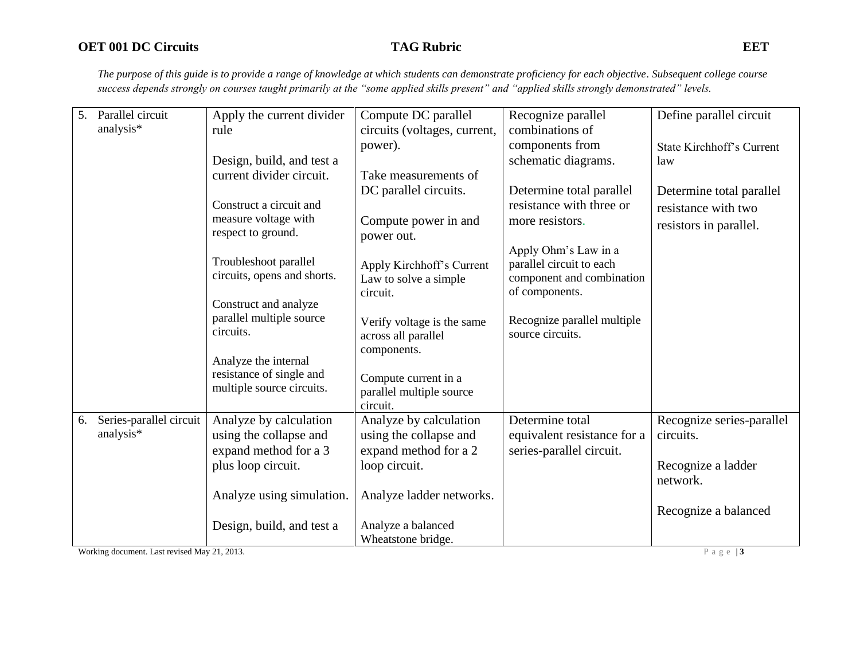*The purpose of this guide is to provide a range of knowledge at which students can demonstrate proficiency for each objective. Subsequent college course success depends strongly on courses taught primarily at the "some applied skills present" and "applied skills strongly demonstrated" levels.* 

| 5. | Parallel circuit        | Apply the current divider   | Compute DC parallel                      | Recognize parallel          | Define parallel circuit          |
|----|-------------------------|-----------------------------|------------------------------------------|-----------------------------|----------------------------------|
|    | analysis*               | rule                        | circuits (voltages, current,             | combinations of             |                                  |
|    |                         |                             | power).                                  | components from             | <b>State Kirchhoff's Current</b> |
|    |                         | Design, build, and test a   |                                          | schematic diagrams.         | law                              |
|    |                         | current divider circuit.    | Take measurements of                     |                             |                                  |
|    |                         |                             | DC parallel circuits.                    | Determine total parallel    | Determine total parallel         |
|    |                         | Construct a circuit and     |                                          | resistance with three or    | resistance with two              |
|    |                         | measure voltage with        | Compute power in and                     | more resistors.             | resistors in parallel.           |
|    |                         | respect to ground.          | power out.                               |                             |                                  |
|    |                         |                             |                                          | Apply Ohm's Law in a        |                                  |
|    |                         | Troubleshoot parallel       | Apply Kirchhoff's Current                | parallel circuit to each    |                                  |
|    |                         | circuits, opens and shorts. | Law to solve a simple                    | component and combination   |                                  |
|    |                         |                             | circuit.                                 | of components.              |                                  |
|    |                         | Construct and analyze       |                                          |                             |                                  |
|    |                         | parallel multiple source    | Verify voltage is the same               | Recognize parallel multiple |                                  |
|    |                         | circuits.                   | across all parallel                      | source circuits.            |                                  |
|    |                         | Analyze the internal        | components.                              |                             |                                  |
|    |                         | resistance of single and    |                                          |                             |                                  |
|    |                         | multiple source circuits.   | Compute current in a                     |                             |                                  |
|    |                         |                             | parallel multiple source<br>circuit.     |                             |                                  |
| 6. | Series-parallel circuit | Analyze by calculation      | Analyze by calculation                   | Determine total             | Recognize series-parallel        |
|    | analysis*               | using the collapse and      | using the collapse and                   | equivalent resistance for a | circuits.                        |
|    |                         | expand method for a 3       | expand method for a 2                    | series-parallel circuit.    |                                  |
|    |                         |                             |                                          |                             |                                  |
|    |                         | plus loop circuit.          | loop circuit.                            |                             | Recognize a ladder               |
|    |                         |                             |                                          |                             | network.                         |
|    |                         | Analyze using simulation.   | Analyze ladder networks.                 |                             |                                  |
|    |                         |                             |                                          |                             | Recognize a balanced             |
|    |                         | Design, build, and test a   | Analyze a balanced<br>Wheatstone bridge. |                             |                                  |
|    |                         |                             |                                          |                             |                                  |

Working document. Last revised May 21, 2013.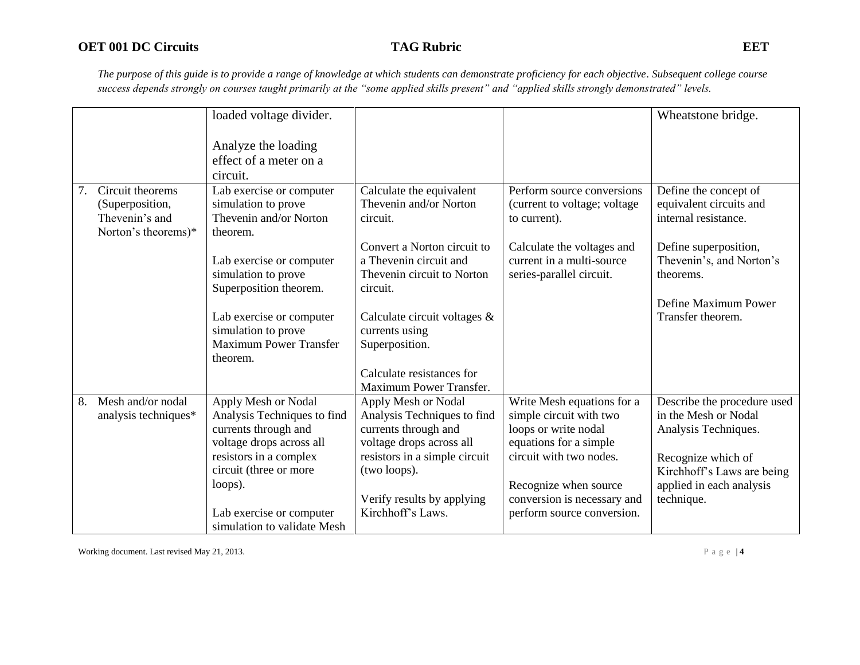*The purpose of this guide is to provide a range of knowledge at which students can demonstrate proficiency for each objective. Subsequent college course success depends strongly on courses taught primarily at the "some applied skills present" and "applied skills strongly demonstrated" levels.* 

|    |                      | loaded voltage divider.                              |                               |                               | Wheatstone bridge.          |
|----|----------------------|------------------------------------------------------|-------------------------------|-------------------------------|-----------------------------|
|    |                      |                                                      |                               |                               |                             |
|    |                      | Analyze the loading                                  |                               |                               |                             |
|    |                      | effect of a meter on a                               |                               |                               |                             |
|    |                      | circuit.                                             |                               |                               |                             |
| 7. | Circuit theorems     | Lab exercise or computer                             | Calculate the equivalent      | Perform source conversions    | Define the concept of       |
|    | (Superposition,      | simulation to prove                                  | Thevenin and/or Norton        | (current to voltage; voltage) | equivalent circuits and     |
|    | Thevenin's and       | Thevenin and/or Norton                               | circuit.                      | to current).                  | internal resistance.        |
|    | Norton's theorems)*  | theorem.                                             |                               |                               |                             |
|    |                      |                                                      | Convert a Norton circuit to   | Calculate the voltages and    | Define superposition,       |
|    |                      | Lab exercise or computer                             | a Thevenin circuit and        | current in a multi-source     | Thevenin's, and Norton's    |
|    |                      | simulation to prove                                  | Thevenin circuit to Norton    | series-parallel circuit.      | theorems.                   |
|    |                      | Superposition theorem.                               | circuit.                      |                               |                             |
|    |                      |                                                      |                               |                               | Define Maximum Power        |
|    |                      | Lab exercise or computer                             | Calculate circuit voltages &  |                               | Transfer theorem.           |
|    |                      | simulation to prove<br><b>Maximum Power Transfer</b> | currents using                |                               |                             |
|    |                      | theorem.                                             | Superposition.                |                               |                             |
|    |                      |                                                      | Calculate resistances for     |                               |                             |
|    |                      |                                                      | Maximum Power Transfer.       |                               |                             |
| 8. | Mesh and/or nodal    | Apply Mesh or Nodal                                  | Apply Mesh or Nodal           | Write Mesh equations for a    | Describe the procedure used |
|    | analysis techniques* | Analysis Techniques to find                          | Analysis Techniques to find   | simple circuit with two       | in the Mesh or Nodal        |
|    |                      | currents through and                                 | currents through and          | loops or write nodal          | Analysis Techniques.        |
|    |                      | voltage drops across all                             | voltage drops across all      | equations for a simple        |                             |
|    |                      | resistors in a complex                               | resistors in a simple circuit | circuit with two nodes.       | Recognize which of          |
|    |                      | circuit (three or more                               | (two loops).                  |                               | Kirchhoff's Laws are being  |
|    |                      | loops).                                              |                               | Recognize when source         | applied in each analysis    |
|    |                      |                                                      | Verify results by applying    | conversion is necessary and   | technique.                  |
|    |                      | Lab exercise or computer                             | Kirchhoff's Laws.             | perform source conversion.    |                             |
|    |                      | simulation to validate Mesh                          |                               |                               |                             |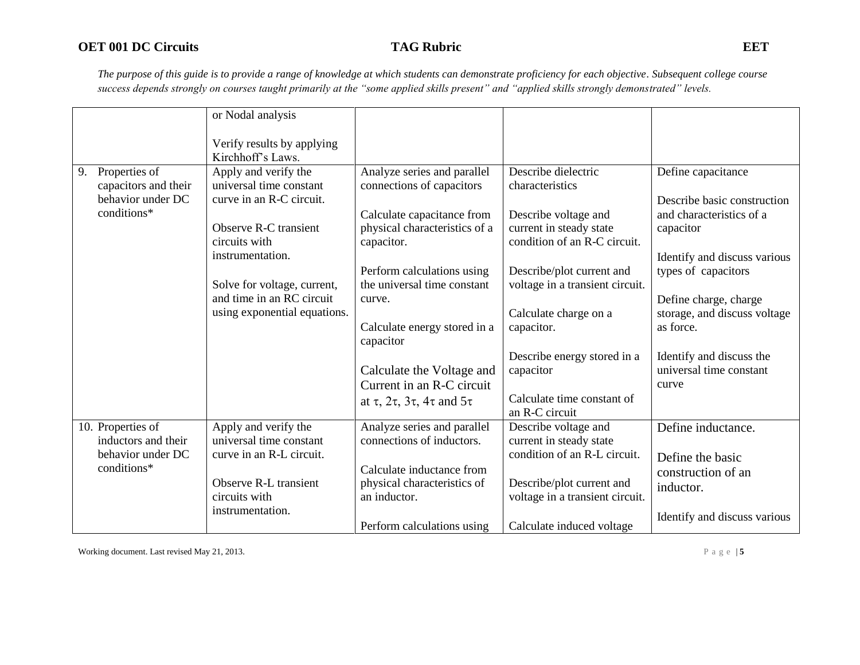*The purpose of this guide is to provide a range of knowledge at which students can demonstrate proficiency for each objective. Subsequent college course success depends strongly on courses taught primarily at the "some applied skills present" and "applied skills strongly demonstrated" levels.* 

|                                  | or Nodal analysis                               |                                                     |                                                         |                              |
|----------------------------------|-------------------------------------------------|-----------------------------------------------------|---------------------------------------------------------|------------------------------|
|                                  | Verify results by applying<br>Kirchhoff's Laws. |                                                     |                                                         |                              |
| Properties of<br>9.              | Apply and verify the                            | Analyze series and parallel                         | Describe dielectric                                     | Define capacitance           |
| capacitors and their             | universal time constant                         | connections of capacitors                           | characteristics                                         |                              |
| behavior under DC<br>conditions* | curve in an R-C circuit.                        |                                                     |                                                         | Describe basic construction  |
|                                  |                                                 | Calculate capacitance from                          | Describe voltage and                                    | and characteristics of a     |
|                                  | Observe R-C transient<br>circuits with          | physical characteristics of a<br>capacitor.         | current in steady state<br>condition of an R-C circuit. | capacitor                    |
|                                  | instrumentation.                                |                                                     |                                                         | Identify and discuss various |
|                                  |                                                 | Perform calculations using                          | Describe/plot current and                               | types of capacitors          |
|                                  | Solve for voltage, current,                     | the universal time constant                         | voltage in a transient circuit.                         |                              |
|                                  | and time in an RC circuit                       | curve.                                              |                                                         | Define charge, charge        |
|                                  | using exponential equations.                    |                                                     | Calculate charge on a                                   | storage, and discuss voltage |
|                                  |                                                 | Calculate energy stored in a<br>capacitor           | capacitor.                                              | as force.                    |
|                                  |                                                 |                                                     | Describe energy stored in a                             | Identify and discuss the     |
|                                  |                                                 | Calculate the Voltage and                           | capacitor                                               | universal time constant      |
|                                  |                                                 | Current in an R-C circuit                           |                                                         | curve                        |
|                                  |                                                 | at $\tau$ , $2\tau$ , $3\tau$ , $4\tau$ and $5\tau$ | Calculate time constant of<br>an R-C circuit            |                              |
| 10. Properties of                | Apply and verify the                            | Analyze series and parallel                         | Describe voltage and                                    | Define inductance.           |
| inductors and their              | universal time constant                         | connections of inductors.                           | current in steady state                                 |                              |
| behavior under DC                | curve in an R-L circuit.                        |                                                     | condition of an R-L circuit.                            | Define the basic             |
| conditions*                      |                                                 | Calculate inductance from                           |                                                         | construction of an           |
|                                  | Observe R-L transient                           | physical characteristics of                         | Describe/plot current and                               | inductor.                    |
|                                  | circuits with<br>instrumentation.               | an inductor.                                        | voltage in a transient circuit.                         |                              |
|                                  |                                                 | Perform calculations using                          | Calculate induced voltage                               | Identify and discuss various |